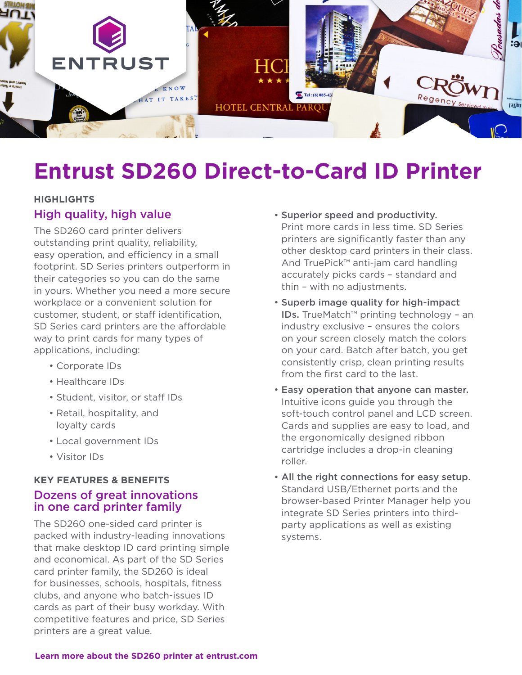

# **Entrust SD260 Direct-to-Card ID Printer**

#### **HIGHLIGHTS**

#### High quality, high value

The SD260 card printer delivers outstanding print quality, reliability, easy operation, and efficiency in a small footprint. SD Series printers outperform in their categories so you can do the same in yours. Whether you need a more secure workplace or a convenient solution for customer, student, or staff identification, SD Series card printers are the affordable way to print cards for many types of applications, including:

- Corporate IDs
- Healthcare IDs
- Student, visitor, or staff IDs
- Retail, hospitality, and loyalty cards
- Local government IDs
- Visitor IDs

#### **KEY FEATURES & BENEFITS**

## Dozens of great innovations in one card printer family

The SD260 one-sided card printer is packed with industry-leading innovations that make desktop ID card printing simple and economical. As part of the SD Series card printer family, the SD260 is ideal for businesses, schools, hospitals, fitness clubs, and anyone who batch-issues ID cards as part of their busy workday. With competitive features and price, SD Series printers are a great value.

- Superior speed and productivity. Print more cards in less time. SD Series printers are significantly faster than any other desktop card printers in their class. And TruePick™ anti-jam card handling accurately picks cards – standard and thin – with no adjustments.
- Superb image quality for high-impact IDs. TrueMatch™ printing technology – an industry exclusive – ensures the colors on your screen closely match the colors on your card. Batch after batch, you get consistently crisp, clean printing results from the first card to the last.
- Easy operation that anyone can master. Intuitive icons guide you through the soft-touch control panel and LCD screen. Cards and supplies are easy to load, and the ergonomically designed ribbon cartridge includes a drop-in cleaning roller.
- All the right connections for easy setup. Standard USB/Ethernet ports and the browser-based Printer Manager help you integrate SD Series printers into thirdparty applications as well as existing systems.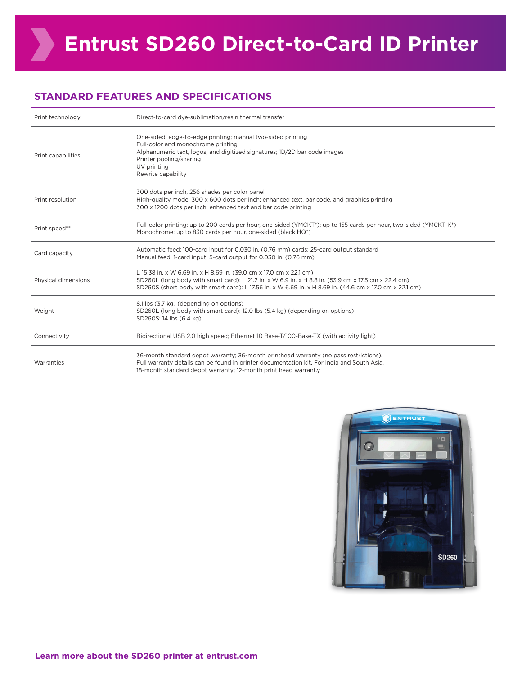#### **STANDARD FEATURES AND SPECIFICATIONS**

| Print technology    | Direct-to-card dye-sublimation/resin thermal transfer                                                                                                                                                                                                                                   |
|---------------------|-----------------------------------------------------------------------------------------------------------------------------------------------------------------------------------------------------------------------------------------------------------------------------------------|
| Print capabilities  | One-sided, edge-to-edge printing; manual two-sided printing<br>Full-color and monochrome printing<br>Alphanumeric text, logos, and digitized signatures; 1D/2D bar code images<br>Printer pooling/sharing<br>UV printing<br>Rewrite capability                                          |
| Print resolution    | 300 dots per inch, 256 shades per color panel<br>High-quality mode: 300 x 600 dots per inch; enhanced text, bar code, and graphics printing<br>300 x 1200 dots per inch; enhanced text and bar code printing                                                                            |
| Print speed**       | Full-color printing: up to 200 cards per hour, one-sided (YMCKT*); up to 155 cards per hour, two-sided (YMCKT-K*)<br>Monochrome: up to 830 cards per hour, one-sided (black HQ*)                                                                                                        |
| Card capacity       | Automatic feed: 100-card input for 0.030 in. (0.76 mm) cards; 25-card output standard<br>Manual feed: 1-card input; 5-card output for 0.030 in. (0.76 mm)                                                                                                                               |
| Physical dimensions | L 15.38 in. x W 6.69 in. x H 8.69 in. (39.0 cm x 17.0 cm x 22.1 cm)<br>SD260L (long body with smart card): L 21.2 in. x W 6.9 in. x H 8.8 in. (53.9 cm x 17.5 cm x 22.4 cm)<br>SD260S (short body with smart card): L 17.56 in. x W 6.69 in. x H 8.69 in. (44.6 cm x 17.0 cm x 22.1 cm) |
| Weight              | 8.1 lbs (3.7 kg) (depending on options)<br>SD260L (long body with smart card): 12.0 lbs (5.4 kg) (depending on options)<br>SD260S: 14 lbs (6.4 kg)                                                                                                                                      |
| Connectivity        | Bidirectional USB 2.0 high speed; Ethernet 10 Base-T/100-Base-TX (with activity light)                                                                                                                                                                                                  |
| Warranties          | 36-month standard depot warranty; 36-month printhead warranty (no pass restrictions).<br>Full warranty details can be found in printer documentation kit. For India and South Asia,<br>18-month standard depot warranty; 12-month print head warrant.y                                  |